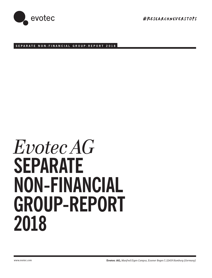

#RESeArChneVErSTOpS

**SEPARATE NON-FINANCIAL GROUP-REPORT 2018**

# *Evotec AG* **SEPARATE NON-FINANCIAL GROUP-REPORT 2018**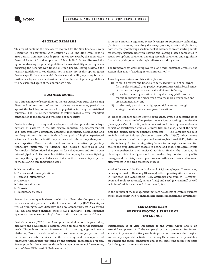

# **GENERAL REMARKS**

This report contains the disclosures required for the Non-financial Group Declaration in accordance with section §§ 315b und 315c i.V.m. 289b to 289e German Commercial Code (HGB). It was reviewed by the Supervisory Board of Evotec AG and adopted on 19 March 2019. Evotec discussed the option of drawing on general guidelines for sustainability reporting when preparing the Separate Non-financial Group Report. Having reviewed the relevant guidelines it was decided not to make use of this option, given Evotec's specific business model. Evotec's sustainability reporting is under further development and extension therefore the use of general guidelines will be examined again at the appropriate time.

# **BUSINESS MODEL**

For a large number of severe illnesses there is currently no cure. The ensuing direct and indirect costs of treating patients are enormous, particularly against the backdrop of an ever-older population in many industrialised countries. The life science industry therefore makes a very important contribution to the health and well-being of our society.

Evotec is a drug discovery and development solution provider for a large network of partners in the life science industry, e.g. pharmaceutical and biotechnology companies, academic institutions, foundations and not-for-profit organisations. With a large pool of highly experienced scientists, first-class scientific operations and different key therapeutic area expertise, Evotec creates and connects innovative, proprietary technology platforms, to identify and develop best-in-class and first-in-class differentiated therapeutics for collaborators and for its own internal pipeline. In its research activities the company focuses on fighting not only the symptoms of diseases, but also their causes. Key expertise in the following core therapeutic areas:

- $\blacktriangleright$  Neuronal diseases
- Diabetes and its complications
- Pain and inflammation
- ▶ Oncology
- $\blacktriangleright$  Infectious diseases
- $\blacktriangleright$  Fibrosis
- Respiratory diseases

Evotec has a unique business model that allows the Company to act both as a service provider for the life science industry (EVT Execute) as well as running its own discovery and development projects in co-owned (i.e. risk-and-reward-sharing) models (EVT Innovate). Both segments operate on the same scientific platforms and share a common workforce.

Evotec's services (EVT Execute) comprise stand-alone or integrated drug discovery and development solutions, which are tailored to the customers' needs. Through continuous investments in its cutting-edge technology platforms, Evotec is able to offer its customers a unique portfolio of first-class scientific services for the discovery and development of innovative therapeutics protected by the partners' intellectual property. Evotec provides these services through a range of commercial structures, most of them FTE-based (Full-time scientist).

In its EVT Innovate segment, Evotec leverages its proprietary technology platforms to develop new drug discovery projects, assets and platforms, both internally or through academic collaborations to create starting points for strategic partnerships with Pharma and leading biotech companies in return for upfront payments, ongoing research payments, and significant financial upside potential through milestones and royalties.

The framework for developing Evotec's long-term, sustainable value is the Action Plan 2022 – "Leading External Innovation" –

Three key cornerstones of this action plan are

- (i) to build a diverse and financially de-risked portfolio of co-owned, first-in-class clinical drug product opportunities with a broad range of partners in the pharmaceutical and biotech industry,
- (ii) to develop the next generation of drug discovery platforms that especially support the mega trend towards more personalised and precision medicine, and
- (iii) to selectively participate in high-potential ventures through strategic investments and company formations.

In order to support patient-centric approaches, Evotec is accessing large patient data sets to re-define patient populations according to molecular phenotypes. Out of this it provides conclusions for testing new molecules as part of stratification studies (Clinical trial in a dish) and at the same time the identity from the patient is protected. The Company has built an industrialised induced pluripotent stem cells ("iPSC") infrastructure that represents one of the largest and most sophisticated iPSC platforms in the industry. Evotec is integrating 'omics' technologies as an essential tool in the drug discovery process to define and profile biological effects in a comprehensive and unbiased fashion. Finally, the Company is blending artificial intelligence and machine-learning tools into many of its biology- and chemistry-driven platforms to further accelerate and increase effectiveness in the drug discovery process.

As of 31 December 2018 Evotec had a total of 2,518 employees. The company is headquartered in Hamburg (Germany); other operating sites are located in Abingdon and Macclesfield (UK), Göttingen and Munich (Germany), Lyon and Toulouse (France), Verona (Italy) and Basel (Switzerland) as well as in Branford, Princeton and Watertown (USA).

In the opinion of the management there are no aspects of Evotec's business model that conflict with its shareholders' interest in sustainable investment.

# **SUSTAINABILITY WITHIN EVOTEC'S SPHERE OF INFLUENCE**

Sustainability is of vital importance to the Evotec Group and is an essential component of all the company's business processes. For Evotec, sustainability means effectively combining economic success with ecological and socially responsible activities. In this way Evotec assumes responsibility for current and future generations and at the same time secures the basis for its long-term commercial success.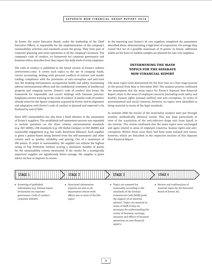# **SEPARATE NON-FINANCIAL GROUP-REPORT 2018**

At Evotec the entire Executive Board, under the leadership of the Chief Executive Officer, is responsible for the implementation of the company's sustainability activities and standards across the group. They form part of corporate planning and cover operations at all the company's locations. The company's code of conduct, its framework for corporate governance and business ethics, describes how they impact the daily work of every employee.

The code of conduct is published in the Invest section of Evotec's website (www.evotec.com). It covers such topics as the use of company funds, correct accounting, dealing with personal conflicts of interest and insider trading, compliance with the provisions of anti-corruption and anti-trust law, the working environment, occupational health and safety, minimising adverse environmental effects and the confidential treatment of intellectual property and company secrets. Evotec's code of conduct also forms the framework for responsible and correct dealings with business partners. Employees receive training on the code of conduct. A similar code of conduct already exists for the Aptuit companies acquired by Evotec and its alignment and adaptation with Evotec's code of conduct is planned and expected to be finalised by end of 2019.

Since 2017 sustainability has also been a fixed element in the assessment of Evotec's suppliers. The established self-assessment process was expanded to include questions on the three criteria; environmental standards (e.g. ISO 14001), CSR standards (e.g. UN Global Compact or ISO 26000) and sustainable engagement (e.g. fair trade, Rainforest Alliance). Each supplier is given a points-based rating derived from the self-assessment and other criteria such as quality, reliability and pricing. Out of a maximum of 100 points, 15 relate to sustainability. No supplier can achieve the highest rating of Top Performer without scoring a minimum number of points for the sustainability criteria mentioned. If the results for a strategically important supplier are significantly below average, the supplier is given advice on how to improve its scores.

In the reporting year Evotec's 16 core suppliers completed the assessment described above, demonstrating a high level of cooperation. On average they scored 10,2 out of a possible maximum of 15 points. In future, additional audits on the basis of random samples are planned for non-core suppliers.

# **DETERMINING THE MAIN TOPICS FOR THE SEPARATE NON-FINANCIAL REPORT**

The main topics were determined for the first time in a four-stage process in the period from May to December 2017. The analysis process confirmed the assumption that the main topics for Evotec's Separate Non-financial Report relate to the areas of employee concerns (including work safety and health), human rights (animal welfare) and anti-corruption. In terms of environmental and social concerns, however, no topics were identified as being material in terms of the legal standards.

In summer 2018 the results of the materiality analysis were put through another, methodically identical review. This was done particularly in view of the acquisition of the anti-infective drugs unit from Sanofi in the interim. The review confirmed that the main topics were unchanged and again related to areas of employee concerns, human rights and anticorruption. Within these areas there had been some isolated new issues, however, which are described in the respective sections of this Separate Non-financial Report.



- $\triangleright$  Screening of published information (e.g. Annual report, Declaration on corporate governance, Code of conduct, corporate website)
- Structured information requests are sent to all departments whose work affects one or more of the five topics
- $\triangleright$  Topics are assessed for materiality according to the standards of the German Commercial Code [HGB] (with the support of an external adviser). Topics are material in terms of HGB if they are necessary for understanding the course of business, earnings, situation and effects of business operations on non-financial aspects.
- Review and confirmation of material topics by the Executive Board of Evotec AG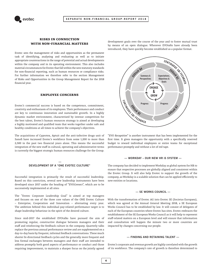

# **RISKS IN CONNECTION WITH NON-FINANCIAL MATTERS**

Evotec sees the management of risks and opportunities as the permanent task of identifying, analysing and evaluating as well as to initiate appropriate counteractions in the range of potential and actual developments within the company and in its operating environment. This also includes material circumstances for Evotec that fall within the new statutory standards for non-financial reporting, such as human resources or compliance risks. For further information we therefore refer to the section Management of Risks and Opportunities in the Group Management Report for the 2018 financial year.

# **EMPLOYEE CONCERNS**

Evotec's commercial success is based on the competence, commitment, creativity and enthusiasm of its employees. Their performance and conduct are key to continuous innovation and sustainable growth. In a highly dynamic market environment, characterised by intense competition for the best talent, Evotec's human resources strategy is aimed at developing a highly motivated and qualified team that works together under safe and healthy conditions at all times to achieve the company's objectives.

The acquisitions of Cyprotex, Aptuit and the anti-infective drugs unit of Sanofi have increased Evotec's workforce from some 1,200 to more than 2,500 in the past two financial years alone. This means the successful integration of the new staff in cultural, operating and administrative terms is currently the biggest strategic human resources challenge for the Group.

## **— DEVELOPMENT OF A "ONE EVOTEC CULTURE" —**

Successful integration is primarily the result of successful leadership. Based on this conviction, several new leadership instruments have been developed since 2017 under the heading of "EVO*Connect*", which are to be successively implemented at all sites:

The "Evotec Corporate Leadership Goal" is aimed at top managers and focuses on one of the three core values of the ONE Evotec Culture – Enterprise, Cooperation and Innovation – alternating every year. The ambition behind this individual pay-related performance target is to shape leadership behaviour in the spirit of the desired culture.

Since mid-2017 the established EVOtalks have pursued the aim of promoting regular, constructive dialogue between managers and their staff and reinforcing the feedback culture in the company. Quarterly talks replace the previous annual performance review and are supplemented on a day-to-day basis by frequent, informal feedback conversations. These much shorter bi-directional feedback cycles and the generally more frequent and less formal exchanges between managers and their staff are intended to address promptly both good aspects of performance or conduct and those requiring improvement, to maintain a sharper focus on the jointly agreed

development goals over the course of the year and to foster mutual trust by means of an open dialogue. Wherever EVO*talks* have already been introduced, they have quickly become established as a popular format.



"EVO *Recognition*" is another instrument that has been implemented for the first time. It gives managers the opportunity with a specifically reserved budget to reward individual employees or entire teams for exceptional performance promptly and without a lot of red tape.

#### **— WORKDAY – OUR NEW HR iS SYSTEM —**

The company has decided to implement Workday as global system for HR to ensure that respective processes are globally aligned and consistent within the Evotec Group. It will also help Evotec to support the growth of the company, as Workday is a scalable solution that can be applied efficiently to new entities or locations.

## **— SE WORKS COUNCIL —**

With the transformation of Evotec AG into Evotec SE (Societas Europaea), which was agreed at the Annual General Meeting 2018, a SE European Works Council has to be established by law. It will consist of delegates of each of the European countries where Evotec has sites. Evotec embraces the establishment of the SE European Works Council as it will help to represent staff-related matters on a European level and will ensure that information and consultation will happen the minute two or more countries are impacted by changes concerning our people.

#### **— FINDING AND RETAINING TALENT —**

Evotec's corporate and revenue growth are highly correlated with the growth of its workforce. The company's rate of growth is therefore determined to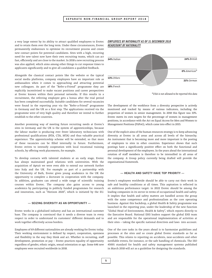## **SEPARATE NON-FINANCIAL GROUP-REPORT 2018**

a very large extent by its ability to attract qualified employees to Evotec and to retain them over the long term. Under these circumstances, Evotec permanently endeavours to optimise its recruitment process and create new contact points for potential candidates. Sites with a high, recurring need for new talent now have their own recruiting teams, which can act fast, efficiently and are close to the market. In 2018 a new recruiting process was also applied, which aims among other things to cut response times to applicants significantly and to give all candidates a qualified feedback.

Alongside the classical contact points like the website or the typical social media platforms, company employees have an important role as ambassadors when it comes to approaching and attracting potential new colleagues. As part of the "Refer-a-Friend" programme they are explicitly incentivised to make vacant positions and career perspectives at Evotec known within their personal networks. If this results in a recruitment, the referring employee gets a bonus after the trial period has been completed successfully. Suitable candidates for several vacancies were found in the reporting year via the "Refer-a-Friend" programme in Germany and the UK as a first step. The applications received via the programme were of very high quality and therefore we intend to further establish to the other countries.

Another promising way of meeting future recruiting needs at Evotec's sites in Germany and the UK is the system of apprenticeships, because the labour market is producing ever fewer laboratory technicians with professional qualifications (BTA, CTA, MTA) and thus valuable practical experience. The apprenticeship scheme will be extended, so that more of these vacancies can be filled internally in future. Furthermore, Evotec strives to intensify cooperation with local vocational training schools, by offering work placements, for example.

To develop contacts with talented students at an early stage, Evotec has always maintained good relations with universities. With the acquisition of Aptuit we were even able to extend our network further into Italy and the UK. For example as part of a partnership with the University of Bath, Evotec gives young academics in the UK the opportunity to complete a doctorate in cooperation with the company. In addition, graduates can attend a wide range of scientific training courses within Evotec. The company also gains access to young academics by participating in publicly funded programmes for research and innovation, such as "Horizon 2020", which is initiated by the EU.

## **— SEIZING DIVERSITY AS AN OPPORTUNITY —**

Evotec works in a globalised industry and has an international customer base. The company is convinced that it needs a diverse team in every respect in order to understand its customers' different demands and to work together effectively across borders.

Employees of 69 different nationalities are already working for Evotec today. Their working environment is defined by respect, cooperation, openness and flexibility in the way they think and act. Whether in recruiting, staff development, promotion or pay – Evotec practices equality of opportunity regardless of gender, ethnic origin, sexual orientation or age. Some 646 new employees were recruited worldwide in 2018.

# *EMPLOYEES BY NATIONALITY AS OF 31 DECEMBER 2018 HEADCOUNT BY NATIONALITY*



*\*USA is not allowed to be reported this data*

The development of the workforce from a diversity perspective is actively monitored and tracked by means of various indicators, including the proportion of women in senior management. In 2018 this figure was 33%. Evotec meets its own targets for the percentage of women in management positions, in accordance with the Act on Equal Access for Men and Women to Management Positions (FüPoG), which came into effect in 2015.

One of the explicit aims of the human resources strategy is to keep advancing diversity at Evotec in all areas and across all levels of the hierarchy. An instrument that is becoming more and more important is the posting of employees to sites in other countries. Experience shows that such postings have a significantly positive effect on both the functional and personal development of the employees. In the years ahead the international rotation of staff members is therefore to be intensified in all areas of the company. A Group policy currently being drafted will provide the organisational framework.

#### **— HEALTH AND SAFETY HAVE TOP PRIORITY —**

Evotec's employees worldwide should be able to carry out their work in safe and healthy conditions at all times. This aspiration is reflected in an ambitious performance target: in 2022 Evotec should be among the leading companies in its sector in terms of occupational health and safety. It implies that health and safety matters are handled across the group with the same competence and professionalism as the core operating business. Against this backdrop, a global Health & Safety programme was launched in the reporting year, under the leadership of the new function "Global Head of Environment, Health & Safety", which reports directly to the Executive Board. National EHS leaders support the global EHS team and are responsible for the operational implementation of activities at their sites – taking the specific national directives and laws into account.

One of the core tasks in the years ahead is to harmonise guidelines and processes at the sites and so create global Evotec standards as far as possible. This relates to reporting on accidents, near-accidents and other notifiable events, for instance, or the safe handling of chemicals. The ISO 45001 standard for health and safety management systems published in March 2018 will act as a guideline for designing the standards.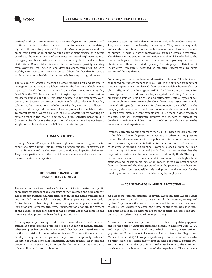

National and local programmes, such as Health@work in Germany, will continue to exist to address the specific requirements of the regulatory regime or the operating business. The Health@work programme stands for an all-round evaluation of the working environment especially in terms of risks to the mental health of employees. An interdisciplinary team of managers, health and safety experts, the company doctor and members of the Works Council identifies potential stress factors, possibly resulting from overwork, for instance, and develops countermeasures. So with Health@work Evotec is taking action to address the fact that in today's world, occupational health risks increasingly have psychological causes.

The takeover of Sanofi's infectious disease research unit and its site in Lyon gives Evotec three BSL 3 laboratories for the first time, which require a particular level of occupational health and safety precautions. Biosafety Level 3 is the EU classification for biological agents that cause serious disease in humans and thus represent a severe risk for employees. Work directly on bacteria or viruses therefore only takes place in biosafety cabinets. Other precautions include special safety clothing, air-filtration systems and the special treatment of waste produced in the laboratories. To protect its staff Evotec also uses its BSL 3 laboratories for working on certain agents in the lower risk category 2. Since activities began in 2015 (therefore already before the acquisition of Evotec) there has not been a single notifiable incident at the BSL 3 laboratories in Lyon.

# **HUMAN RIGHTS**

Although "classical" aspects of human rights such as working and social conditions play a minor role in Evotec's business model, its activities as a drug discovery and development company do entail specific challenges. They relate particularly to the use of human tissue and cells, as well as to the use of animals in experiments.



The use of human tissue enables Evotec to test its innovative therapeutic approaches for efficacy at an early stage of their research and development. The company purchases human cells, body fluids and tissue from licensed and certified commercial providers, alliance partners and consortia. Evotec bases its handling of human samples on applicable national legislation and European directives. Documentation of origin, the consent of the patient or trial participant to the scientific use of the samples and the related data protection have the highest priority.

All employees performing work with human derived materials are trained and appropriately protected for the handling of human samples. Whenever possible, only human material that has been tested negative for the main risks of human infection is used. To ensure the safety of all employees, any human sample work is performed in specially dedicated laboratories under controlled conditions. Human samples are stored and processed strictly separately from samples from other species in order to rule out all potential contamination.

Embryonic stem (ES) cells play an important role in biomedical research. They are obtained from five-day old embryos. They grow very quickly and can develop into any kind of body tissue or organ. However, the use of human ES cells is highly controversial from an ethical perspective. The debate centres around the protection that should be afforded to the human embryo and the question of whether embryos may be used to obtain stem cells or cultivated especially for this purpose. This kind of "destructive" research is regarded as ethically unacceptable by some sections of the population.

For some years there has been an alternative to human ES cells, known as induced pluripotent stem cells (iPSC), which are obtained from patient tissue samples. They are derived from easily available human skin or blood cells, which are "reprogrammed" in the laboratory by introducing transcription factors and can then be propagated indefinitely. Similarly to embryonic stem cells, iPSCs are able to differentiate into all types of cell in the adult organism. Evotec already differentiates iPSCs into a wide range of cell types (e.g. nerve cells, insulin-producing beta cells). It is the company's declared aim to build new disease models based on cultures of iPS cells from many different patients and to use them in drug discovery projects. This will significantly improve the chances of success for developing medicines and due to human model systems sharply reduce the volume of animal experiments.

Evotec is currently working on more than 20 iPSC-based research projects in the fields of neurodegeneration, diabetes and others. Evotec presents the results of these studies to the public at international conferences and so makes important contributions to the advancement of science in these areas of research. As planned, Evotec published a group policy on the handling of human tissue and bodily fluids in 2018. It describes the responsible treatment of human tissue, cells and bodily fluids. The origin of the materials must be documented in accordance with high ethical standards and the applicable legislation, consent must have been obtained from the donor and the data generated must be protected. Furthermore, the policy describes responsible, safe and professional methods for the handling of human materials in the laboratory by employees.

## **— TOP STANDARDS IN ANIMAL PROTECTION —**

As part of its research activities at several European sites Evotec carries out experiments on animals that are scientifically necessary or required by law. Experiments that cannot be conducted in-house are outsourced to specialised, carefully selected and tested contract research institutes. The animals used in experiments are mostly rodents (e.g. mice and rats), but also non-rodents (e.g. non-human primates).

All animal experiments are performed exclusively with regulatory approval and on the basis of European standards defined in Directive 2010/63/EU and applicable national legislation, which is mostly even stricter, (e.g. Animal Protection Act, Laboratory Animals Protection Regulation, Medical Products Act). This requires justifying in every individual case why a project cannot be carried out without resorting to animal experiments. Furthermore, the number of animals used must be kept to the minimum consistent with achieving the aim of the experiment. The competent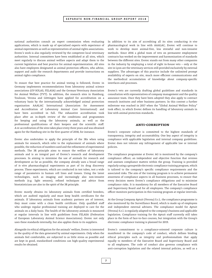# **SEPARATE NON-FINANCIAL GROUP-REPORT 2018**

national authorities consult an expert commission when evaluating applications, which is made up of specialised experts with experience of animal experiments as well as representatives of animal rights associations. Evotec's work is also regularly reviewed by the competent local veterinary authorities. Internal committees have been established at all sites, which meet regularly to discuss animal welfare aspects and adapt them to the current legislation and best practice for animal experimentation. All sites also have employees designated as animal protection officers, who advise, support and audit the research departments and provide instructions on animal rights compliance.

To ensure that best practice for animal testing is followed, Evotec in Germany implements recommendations from laboratory animal science associations (GV-SOLAS, FELASA) and the German Veterinary Association for Animal Welfare (TVT). In addition, the research sites in Hamburg, Toulouse, Verona and Göttingen have applied for accreditation on a voluntary basis by the internationally acknowledged animal protection organisation AAALAC International (Association for Assessment and Accreditation of Laboratory Animal Care International) and have been accredited in full. The exhaustive accreditation took place after an in-depth review of the conditions and programmes for keeping and using the laboratory animals, as well as the professional qualifications of their keepers and the scientific staff. A re-accreditation of the sites takes place every three years and was obtained again for the Hamburg site in the first quarter of 2018, for instance.

Evotec also undertakes to apply the principle of the 3Rs when using animals for research, which refer to the replacement of animals where possible, the reduction of numbers used and the refinement of experimental methods. The 3R principle aims to ensure the welfare of laboratory animals and is an integral part of Evotec's research and development processes. In aiming to minimise the use of animals for research and development as far as possible, the company already uses a broad range of *in vitro* pharmacological experiments as part of its drug discovery process. These experiments, which are conducted in test tubes, test a wide range of parameters in human cell lines and tissues. Using the latest technologies, such as imaging and increasingly also non-invasive methods (e.g. light sensors), refined techniques and advice from biostatisticians are also in the spirit of the 3R principle.

Evotec mostly obtains its laboratory animals from certified breeders, which are audited regularly and must keep health certificates for the animals. If laboratory animals from academic partners are of interest, they must come with a clean health certificate. Only qualified staff who undergo regular professional training are deployed to care for the animals on a daily basis. The health of the laboratory animals is measured at regular intervals in line with guidelines from FELASA (Federation of European Laboratory Animal Science Associations). Evotec not only uses these standards internally, but also applies them to its suppliers.

Alongside its ethical obligation for the animals' welfare, Evotec is interested in the quality of the data generated by animal experiments. Only when the animals feel comfortable, are subjected to as little stress as possible and are kept in good, standardised conditions can high-quality experimental results be obtained.

In addition to its aim of accrediting all its sites conducting *in vivo* pharmacological work in line with AAALAC, Evotec will continue to work to develop more animal-free, less stressful and non-invasive methods. Since 2016 a global team of vets on permanent employment contracts has worked on the improvement and harmonisation of standards between the different sites. Evotec stands out from many other companies in the industry by employing a total of eight in-house vets – only at the site in Lyon are the veterinary services still provided exclusively by external suppliers. The advantages of this practice include the unlimited prompt availability of experts on site, much more efficient communications and the methodical accumulation of knowledge about company-specific interfaces and processes.

Evotec's vets are currently drafting global guidelines and standards in consultation with representatives of company management and the quality assurance team. Once they have been adopted they also apply to contract research institutes and other business partners. In this context a further milestone was reached in 2017 when the "Global Animal Welfare Policy" took effect, in which Evotec defines its handling of laboratory animals in line with animal protection standards.

## **ANTI-CORRUPTION**

Evotec's corporate culture is committed to the highest standards of transparency, integrity and accountability. One key aspect of integrity is compliance with applicable legislation and internal company guidelines. Evotec does not tolerate any infringement of applicable law or internal policies.

The compliance programme at Evotec AG is monitored by the company's compliance officer; an independent and objective function that reviews and assesses compliance matters within the group. Training is provided regularly using a groupwide electronic compliance training program, which is tailored to the company's specific compliance requirements and the associated risks. The aim of the training program is to achieve permanent awareness of compliance aspects in all business processes, to ensure that every decision meets Evotec's compliance obligations and to minimise compliance risks. It is mandatory for all members of the Executive Board and Supervisory Board and for all employees. The company's compliance officer monitors participation in this training program at regular intervals.

At the Group Company Aptuit (Verona) S.r.L. the compliance programme is also monitored by the Surveillance Board, which is made up of employees and independent external advisers. The compliance model for Aptuit (Verona) S.r.l. is regularly adapted to the company's business and applicable legislation. Compliance training for the Aptuit staff currently still takes place in the form of face-to-face courses, but integration with the Group's electronic compliance training is planned for 2019.

Evotec's commitment to a compliance-oriented corporate culture is manifested in the company's code of conduct, which defines binding ethical principles such as integrity and professionalism that apply equally to members of the Executive Board and Supervisory Board and to all employees. The code of conduct also governs compliance with anti-corruption legislation and the related internal policies, as well as a